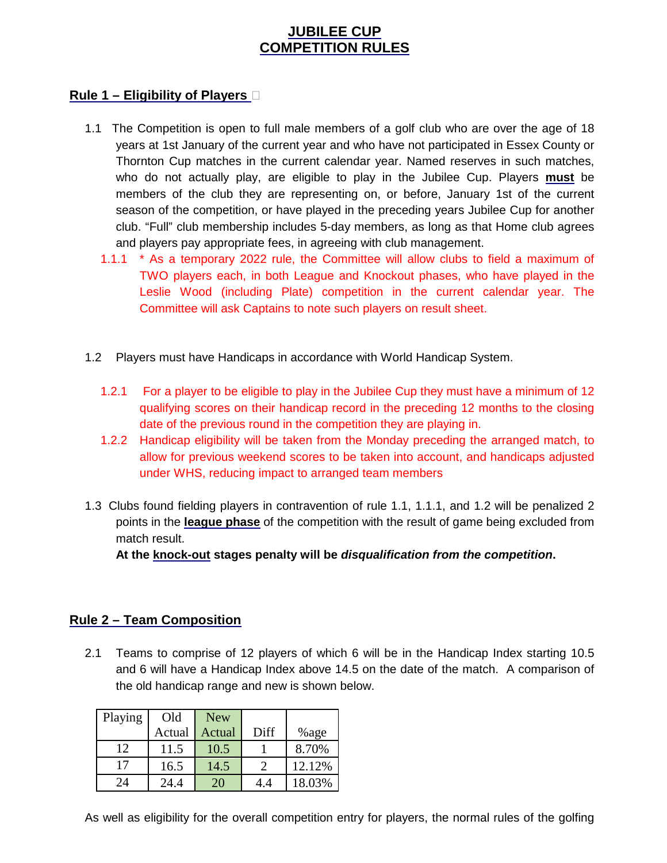# **JUBILEE CUP COMPETITION RULES**

#### **Rule 1 – Eligibility of Players**

- 1.1 The Competition is open to full male members of a golf club who are over the age of 18 years at 1st January of the current year and who have not participated in Essex County or Thornton Cup matches in the current calendar year. Named reserves in such matches, who do not actually play, are eligible to play in the Jubilee Cup. Players **must** be members of the club they are representing on, or before, January 1st of the current season of the competition, or have played in the preceding years Jubilee Cup for another club. "Full" club membership includes 5-day members, as long as that Home club agrees and players pay appropriate fees, in agreeing with club management.
	- 1.1.1 \* As a temporary 2022 rule, the Committee will allow clubs to field a maximum of TWO players each, in both League and Knockout phases, who have played in the Leslie Wood (including Plate) competition in the current calendar year. The Committee will ask Captains to note such players on result sheet.
- 1.2 Players must have Handicaps in accordance with World Handicap System.
	- 1.2.1 For a player to be eligible to play in the Jubilee Cup they must have a minimum of 12 qualifying scores on their handicap record in the preceding 12 months to the closing date of the previous round in the competition they are playing in.
	- 1.2.2 Handicap eligibility will be taken from the Monday preceding the arranged match, to allow for previous weekend scores to be taken into account, and handicaps adjusted under WHS, reducing impact to arranged team members
- 1.3 Clubs found fielding players in contravention of rule 1.1, 1.1.1, and 1.2 will be penalized 2 points in the **league phase** of the competition with the result of game being excluded from match result.

**At the knock-out stages penalty will be disqualification from the competition.** 

## **Rule 2 – Team Composition**

2.1 Teams to comprise of 12 players of which 6 will be in the Handicap Index starting 10.5 and 6 will have a Handicap Index above 14.5 on the date of the match. A comparison of the old handicap range and new is shown below.

| Playing | Old    | <b>New</b> |      |         |
|---------|--------|------------|------|---------|
|         | Actual | Actual     | Diff | $%$ age |
| 12      | 11.5   | 10.5       |      | 8.70%   |
| 17      | 16.5   | 14.5       |      | 12.12%  |
| 24      | 24.4   | 20         | 4.4  | 18.03%  |

As well as eligibility for the overall competition entry for players, the normal rules of the golfing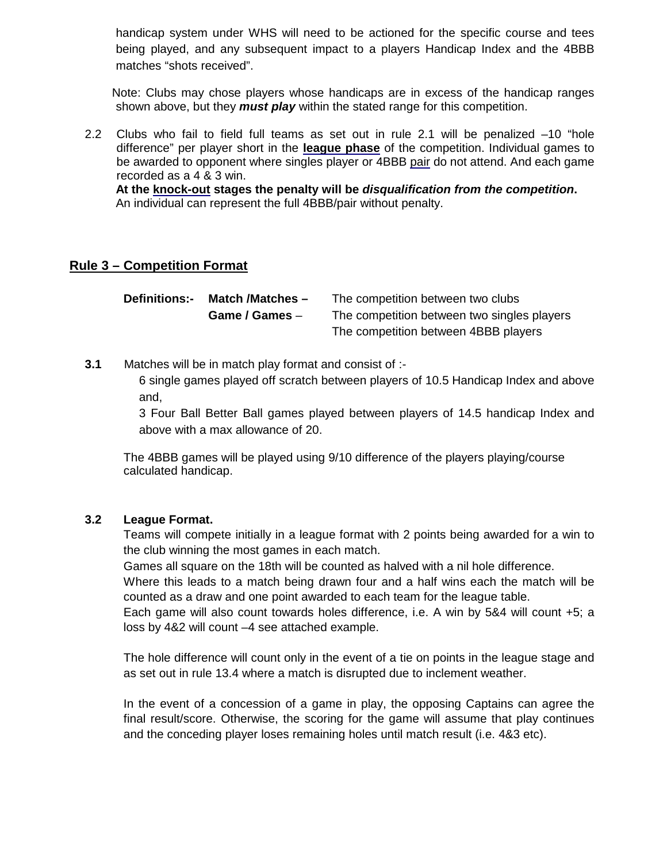handicap system under WHS will need to be actioned for the specific course and tees being played, and any subsequent impact to a players Handicap Index and the 4BBB matches "shots received".

 Note: Clubs may chose players whose handicaps are in excess of the handicap ranges shown above, but they **must play** within the stated range for this competition.

2.2 Clubs who fail to field full teams as set out in rule 2.1 will be penalized –10 "hole difference" per player short in the **league phase** of the competition. Individual games to be awarded to opponent where singles player or 4BBB pair do not attend. And each game recorded as a 4 & 3 win.

**At the knock-out stages the penalty will be disqualification from the competition.**  An individual can represent the full 4BBB/pair without penalty.

#### **Rule 3 – Competition Format**

**Definitions:- Match /Matches –** The competition between two clubs **Game / Games** – The competition between two singles players The competition between 4BBB players

**3.1** Matches will be in match play format and consist of :-

6 single games played off scratch between players of 10.5 Handicap Index and above and,

3 Four Ball Better Ball games played between players of 14.5 handicap Index and above with a max allowance of 20.

The 4BBB games will be played using 9/10 difference of the players playing/course calculated handicap.

#### **3.2 League Format.**

Teams will compete initially in a league format with 2 points being awarded for a win to the club winning the most games in each match.

Games all square on the 18th will be counted as halved with a nil hole difference.

Where this leads to a match being drawn four and a half wins each the match will be counted as a draw and one point awarded to each team for the league table.

Each game will also count towards holes difference, i.e. A win by 5&4 will count +5; a loss by 4&2 will count –4 see attached example.

The hole difference will count only in the event of a tie on points in the league stage and as set out in rule 13.4 where a match is disrupted due to inclement weather.

In the event of a concession of a game in play, the opposing Captains can agree the final result/score. Otherwise, the scoring for the game will assume that play continues and the conceding player loses remaining holes until match result (i.e. 4&3 etc).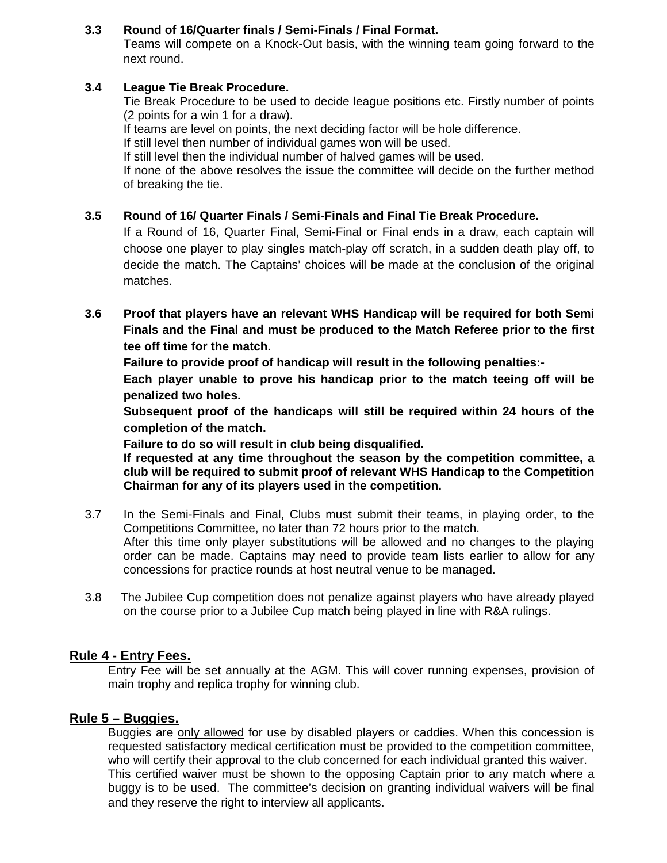### **3.3 Round of 16/Quarter finals / Semi-Finals / Final Format.**

Teams will compete on a Knock-Out basis, with the winning team going forward to the next round.

#### **3.4 League Tie Break Procedure.**

Tie Break Procedure to be used to decide league positions etc. Firstly number of points (2 points for a win 1 for a draw).

If teams are level on points, the next deciding factor will be hole difference.

If still level then number of individual games won will be used.

If still level then the individual number of halved games will be used.

If none of the above resolves the issue the committee will decide on the further method of breaking the tie.

### **3.5 Round of 16/ Quarter Finals / Semi-Finals and Final Tie Break Procedure.**

If a Round of 16, Quarter Final, Semi-Final or Final ends in a draw, each captain will choose one player to play singles match-play off scratch, in a sudden death play off, to decide the match. The Captains' choices will be made at the conclusion of the original matches.

**3.6 Proof that players have an relevant WHS Handicap will be required for both Semi Finals and the Final and must be produced to the Match Referee prior to the first tee off time for the match.** 

**Failure to provide proof of handicap will result in the following penalties:-** 

**Each player unable to prove his handicap prior to the match teeing off will be penalized two holes.** 

**Subsequent proof of the handicaps will still be required within 24 hours of the completion of the match.** 

**Failure to do so will result in club being disqualified.** 

**If requested at any time throughout the season by the competition committee, a club will be required to submit proof of relevant WHS Handicap to the Competition Chairman for any of its players used in the competition.** 

- 3.7 In the Semi-Finals and Final, Clubs must submit their teams, in playing order, to the Competitions Committee, no later than 72 hours prior to the match. After this time only player substitutions will be allowed and no changes to the playing order can be made. Captains may need to provide team lists earlier to allow for any concessions for practice rounds at host neutral venue to be managed.
- 3.8 The Jubilee Cup competition does not penalize against players who have already played on the course prior to a Jubilee Cup match being played in line with R&A rulings.

## **Rule 4 - Entry Fees.**

Entry Fee will be set annually at the AGM. This will cover running expenses, provision of main trophy and replica trophy for winning club.

## **Rule 5 – Buggies.**

Buggies are only allowed for use by disabled players or caddies. When this concession is requested satisfactory medical certification must be provided to the competition committee, who will certify their approval to the club concerned for each individual granted this waiver. This certified waiver must be shown to the opposing Captain prior to any match where a buggy is to be used. The committee's decision on granting individual waivers will be final and they reserve the right to interview all applicants.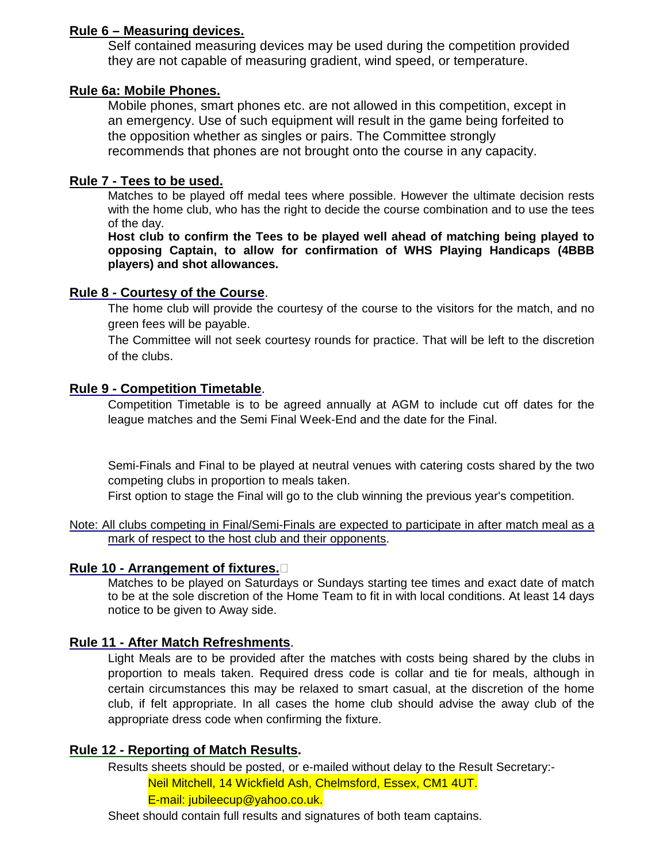#### **Rule 6 – Measuring devices.**

Self contained measuring devices may be used during the competition provided they are not capable of measuring gradient, wind speed, or temperature.

#### **Rule 6a: Mobile Phones.**

Mobile phones, smart phones etc. are not allowed in this competition, except in an emergency. Use of such equipment will result in the game being forfeited to the opposition whether as singles or pairs. The Committee strongly recommends that phones are not brought onto the course in any capacity.

#### **Rule 7 - Tees to be used.**

Matches to be played off medal tees where possible. However the ultimate decision rests with the home club, who has the right to decide the course combination and to use the tees of the day.

**Host club to confirm the Tees to be played well ahead of matching being played to opposing Captain, to allow for confirmation of WHS Playing Handicaps (4BBB players) and shot allowances.** 

#### **Rule 8 - Courtesy of the Course**.

The home club will provide the courtesy of the course to the visitors for the match, and no green fees will be payable.

The Committee will not seek courtesy rounds for practice. That will be left to the discretion of the clubs.

#### **Rule 9 - Competition Timetable**.

Competition Timetable is to be agreed annually at AGM to include cut off dates for the league matches and the Semi Final Week-End and the date for the Final.

Semi-Finals and Final to be played at neutral venues with catering costs shared by the two competing clubs in proportion to meals taken.

First option to stage the Final will go to the club winning the previous year's competition.

Note: All clubs competing in Final/Semi-Finals are expected to participate in after match meal as a mark of respect to the host club and their opponents.

## **Rule 10 - Arrangement of fixtures.**

Matches to be played on Saturdays or Sundays starting tee times and exact date of match to be at the sole discretion of the Home Team to fit in with local conditions. At least 14 days notice to be given to Away side.

## **Rule 11 - After Match Refreshments**.

Light Meals are to be provided after the matches with costs being shared by the clubs in proportion to meals taken. Required dress code is collar and tie for meals, although in certain circumstances this may be relaxed to smart casual, at the discretion of the home club, if felt appropriate. In all cases the home club should advise the away club of the appropriate dress code when confirming the fixture.

## **Rule 12 - Reporting of Match Results.**

Results sheets should be posted, or e-mailed without delay to the Result Secretary:- Neil Mitchell, 14 Wickfield Ash, Chelmsford, Essex, CM1 4UT.

E-mail: jubileecup@yahoo.co.uk.

Sheet should contain full results and signatures of both team captains.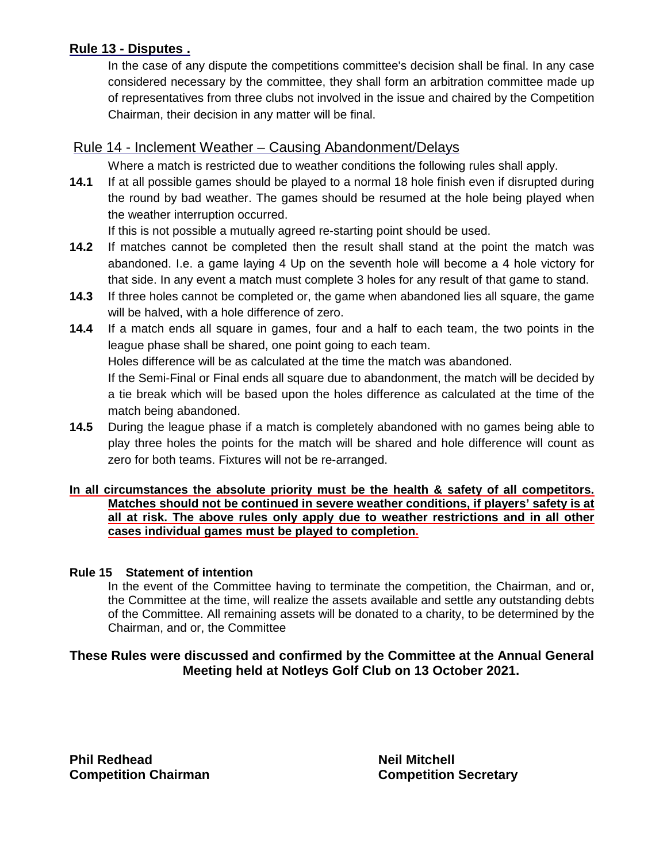## **Rule 13 - Disputes .**

In the case of any dispute the competitions committee's decision shall be final. In any case considered necessary by the committee, they shall form an arbitration committee made up of representatives from three clubs not involved in the issue and chaired by the Competition Chairman, their decision in any matter will be final.

## Rule 14 - Inclement Weather – Causing Abandonment/Delays

Where a match is restricted due to weather conditions the following rules shall apply.

**14.1** If at all possible games should be played to a normal 18 hole finish even if disrupted during the round by bad weather. The games should be resumed at the hole being played when the weather interruption occurred.

If this is not possible a mutually agreed re-starting point should be used.

- **14.2** If matches cannot be completed then the result shall stand at the point the match was abandoned. I.e. a game laying 4 Up on the seventh hole will become a 4 hole victory for that side. In any event a match must complete 3 holes for any result of that game to stand.
- **14.3** If three holes cannot be completed or, the game when abandoned lies all square, the game will be halved, with a hole difference of zero.
- **14.4** If a match ends all square in games, four and a half to each team, the two points in the league phase shall be shared, one point going to each team. Holes difference will be as calculated at the time the match was abandoned. If the Semi-Final or Final ends all square due to abandonment, the match will be decided by a tie break which will be based upon the holes difference as calculated at the time of the match being abandoned.
- **14.5** During the league phase if a match is completely abandoned with no games being able to play three holes the points for the match will be shared and hole difference will count as zero for both teams. Fixtures will not be re-arranged.

#### **In all circumstances the absolute priority must be the health & safety of all competitors. Matches should not be continued in severe weather conditions, if players' safety is at all at risk. The above rules only apply due to weather restrictions and in all other cases individual games must be played to completion.**

#### **Rule 15 Statement of intention**

In the event of the Committee having to terminate the competition, the Chairman, and or, the Committee at the time, will realize the assets available and settle any outstanding debts of the Committee. All remaining assets will be donated to a charity, to be determined by the Chairman, and or, the Committee

## **These Rules were discussed and confirmed by the Committee at the Annual General Meeting held at Notleys Golf Club on 13 October 2021.**

**Phil Redhead Neil Mitchell Accord Accord Reduction Competition Chairman Competition Secretary**